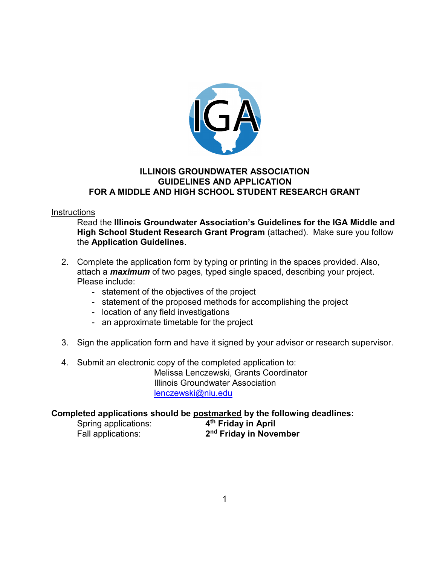

## **ILLINOIS GROUNDWATER ASSOCIATION GUIDELINES AND APPLICATION FOR A MIDDLE AND HIGH SCHOOL STUDENT RESEARCH GRANT**

#### **Instructions**

Read the **Illinois Groundwater Association's Guidelines for the IGA Middle and High School Student Research Grant Program** (attached). Make sure you follow the **Application Guidelines**.

- 2. Complete the application form by typing or printing in the spaces provided. Also, attach a *maximum* of two pages, typed single spaced, describing your project. Please include:
	- statement of the objectives of the project
	- statement of the proposed methods for accomplishing the project
	- location of any field investigations
	- an approximate timetable for the project
- 3. Sign the application form and have it signed by your advisor or research supervisor.
- 4. Submit an electronic copy of the completed application to: Melissa Lenczewski, Grants Coordinator Illinois Groundwater Association [lenczewski@niu.edu](mailto:lenczewski@niu.edu)

#### **Completed applications should be postmarked by the following deadlines:**

Spring applications: **4th Friday in April**

Fall applications: **2nd Friday in November**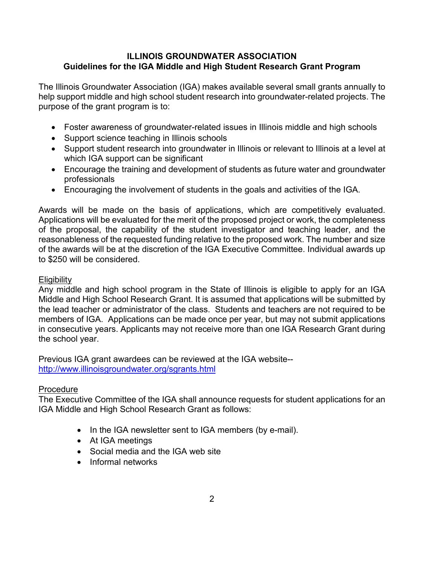## **ILLINOIS GROUNDWATER ASSOCIATION Guidelines for the IGA Middle and High Student Research Grant Program**

The Illinois Groundwater Association (IGA) makes available several small grants annually to help support middle and high school student research into groundwater-related projects. The purpose of the grant program is to:

- Foster awareness of groundwater-related issues in Illinois middle and high schools
- Support science teaching in Illinois schools
- Support student research into groundwater in Illinois or relevant to Illinois at a level at which IGA support can be significant
- Encourage the training and development of students as future water and groundwater professionals
- Encouraging the involvement of students in the goals and activities of the IGA.

Awards will be made on the basis of applications, which are competitively evaluated. Applications will be evaluated for the merit of the proposed project or work, the completeness of the proposal, the capability of the student investigator and teaching leader, and the reasonableness of the requested funding relative to the proposed work. The number and size of the awards will be at the discretion of the IGA Executive Committee. Individual awards up to \$250 will be considered.

## **Eligibility**

Any middle and high school program in the State of Illinois is eligible to apply for an IGA Middle and High School Research Grant. It is assumed that applications will be submitted by the lead teacher or administrator of the class. Students and teachers are not required to be members of IGA. Applications can be made once per year, but may not submit applications in consecutive years. Applicants may not receive more than one IGA Research Grant during the school year.

Previous IGA grant awardees can be reviewed at the IGA website- <http://www.illinoisgroundwater.org/sgrants.html>

## **Procedure**

The Executive Committee of the IGA shall announce requests for student applications for an IGA Middle and High School Research Grant as follows:

- In the IGA newsletter sent to IGA members (by e-mail).
- At IGA meetings
- Social media and the IGA web site
- Informal networks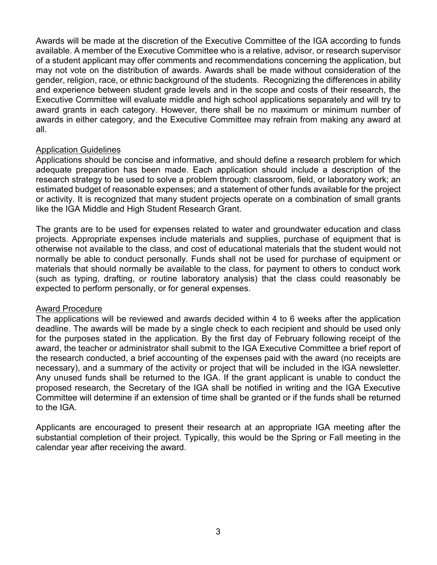Awards will be made at the discretion of the Executive Committee of the IGA according to funds available. A member of the Executive Committee who is a relative, advisor, or research supervisor of a student applicant may offer comments and recommendations concerning the application, but may not vote on the distribution of awards. Awards shall be made without consideration of the gender, religion, race, or ethnic background of the students. Recognizing the differences in ability and experience between student grade levels and in the scope and costs of their research, the Executive Committee will evaluate middle and high school applications separately and will try to award grants in each category. However, there shall be no maximum or minimum number of awards in either category, and the Executive Committee may refrain from making any award at all.

#### Application Guidelines

Applications should be concise and informative, and should define a research problem for which adequate preparation has been made. Each application should include a description of the research strategy to be used to solve a problem through: classroom, field, or laboratory work; an estimated budget of reasonable expenses; and a statement of other funds available for the project or activity. It is recognized that many student projects operate on a combination of small grants like the IGA Middle and High Student Research Grant.

The grants are to be used for expenses related to water and groundwater education and class projects. Appropriate expenses include materials and supplies, purchase of equipment that is otherwise not available to the class, and cost of educational materials that the student would not normally be able to conduct personally. Funds shall not be used for purchase of equipment or materials that should normally be available to the class, for payment to others to conduct work (such as typing, drafting, or routine laboratory analysis) that the class could reasonably be expected to perform personally, or for general expenses.

#### Award Procedure

The applications will be reviewed and awards decided within 4 to 6 weeks after the application deadline. The awards will be made by a single check to each recipient and should be used only for the purposes stated in the application. By the first day of February following receipt of the award, the teacher or administrator shall submit to the IGA Executive Committee a brief report of the research conducted, a brief accounting of the expenses paid with the award (no receipts are necessary), and a summary of the activity or project that will be included in the IGA newsletter. Any unused funds shall be returned to the IGA. If the grant applicant is unable to conduct the proposed research, the Secretary of the IGA shall be notified in writing and the IGA Executive Committee will determine if an extension of time shall be granted or if the funds shall be returned to the IGA.

Applicants are encouraged to present their research at an appropriate IGA meeting after the substantial completion of their project. Typically, this would be the Spring or Fall meeting in the calendar year after receiving the award.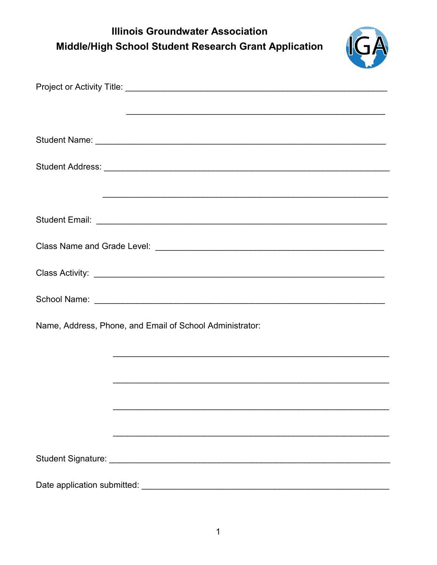# **Illinois Groundwater Association** Middle/High School Student Research Grant Application



| Name, Address, Phone, and Email of School Administrator: |  |  |  |
|----------------------------------------------------------|--|--|--|
|                                                          |  |  |  |
|                                                          |  |  |  |
|                                                          |  |  |  |
|                                                          |  |  |  |
|                                                          |  |  |  |
|                                                          |  |  |  |